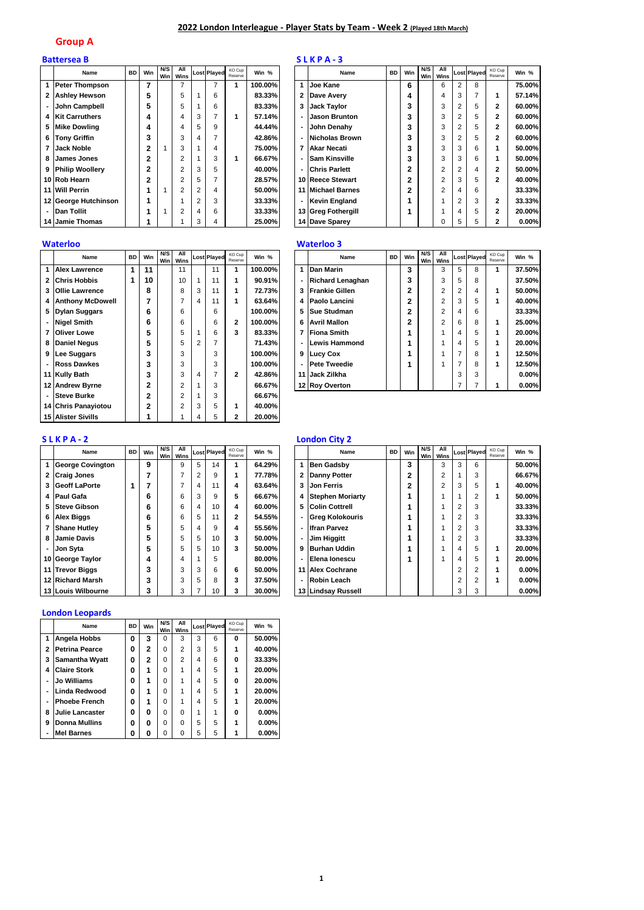## **2022 London Interleague - Player Stats by Team - Week 2 (Played 18th March)**

### **Group A**

|   | <b>Battersea B</b>   |           |              |     |                 |        |                    |                   |         |                          | SLKPA-3              |           |     |            |                |                |                    |                   |        |
|---|----------------------|-----------|--------------|-----|-----------------|--------|--------------------|-------------------|---------|--------------------------|----------------------|-----------|-----|------------|----------------|----------------|--------------------|-------------------|--------|
|   | Name                 | <b>BD</b> | Win          | N/S | All<br>Win Wins |        | <b>Lost Played</b> | KO Cup<br>Reserve | Win %   |                          | Name                 | <b>BD</b> | Win | N/S<br>Win | All<br>Wins    |                | <b>Lost Played</b> | KO Cup<br>Reserve | Win %  |
|   | Peter Thompson       |           | 7            |     |                 |        |                    |                   | 100.00% | 1                        | Joe Kane             |           | 6   |            | 6              | 2              | 8                  |                   | 75.00% |
|   | 2 Ashley Hewson      |           | 5            |     | 5               |        | 6                  |                   | 83.33%  | 2                        | Dave Avery           |           | 4   |            | 4              | 3              | 7                  |                   | 57.14% |
|   | John Campbell        |           | 5            |     | 5               |        | 6                  |                   | 83.33%  | 3                        | <b>Jack Taylor</b>   |           | 3   |            | 3              | $\overline{2}$ | 5                  | $\mathbf{2}$      | 60.00% |
|   | 4 Kit Carruthers     |           | 4            |     | 4               | 3      |                    |                   | 57.14%  | $\overline{\phantom{0}}$ | <b>Jason Brunton</b> |           | 3   |            | 3              | 2              | 5                  | 2                 | 60.00% |
|   | 5 Mike Dowling       |           | 4            |     | 4               | 5      | 9                  |                   | 44.44%  | $\sim$                   | John Denahy          |           | 3   |            | 3              | 2              | 5                  | 2                 | 60.00% |
|   | 6 Tony Griffin       |           | 3            |     | 3               |        |                    |                   | 42.86%  | ٠                        | Nicholas Brown       |           | 3   |            | 3              | 2              | 5                  | 2                 | 60.00% |
|   | Jack Noble           |           | $\mathbf{2}$ |     | 3               |        | 4                  |                   | 75.00%l | 7                        | Akar Necati          |           | 3   |            | 3              | 3              | 6                  |                   | 50.00% |
| 8 | James Jones          |           | 2            |     | 2               |        | 3                  |                   | 66.67%  | ٠                        | <b>Sam Kinsville</b> |           | 3   |            | 3              | 3              | 6                  |                   | 50.00% |
|   | 9 Philip Woollery    |           | 2            |     | 2               | 3      | 5                  |                   | 40.00%  | $\overline{\phantom{0}}$ | <b>Chris Parlett</b> |           | 2   |            | $\overline{c}$ | 2              | 4                  | 2                 | 50.00% |
|   | 10 Rob Hearn         |           | 2            |     | 2               | 5      |                    |                   | 28.57%  |                          | 10 Reece Stewart     |           | 2   |            | $\overline{c}$ | 3              | 5                  | 2                 | 40.00% |
|   | 11 Will Perrin       |           |              |     | 2               | $\sim$ | 4                  |                   | 50.00%  |                          | 11 Michael Barnes    |           | 2   |            | $\overline{c}$ | 4              | 6                  |                   | 33.33% |
|   | 12 George Hutchinson |           |              |     |                 |        | 3                  |                   | 33.33%  | ۰                        | Kevin England        |           |     |            |                | 2              | 3                  | 2                 | 33.33% |
|   | - IDan Tollit        |           | 1            |     | $\overline{2}$  | 4      | 6                  |                   | 33.33%  |                          | 13 Greg Fothergill   |           |     |            |                | 4              | 5                  | 2                 | 20.00% |
|   | 14 Jamie Thomas      |           |              |     |                 |        | 4                  |                   | 25.00%  |                          | 14 Dave Sparey       |           |     |            | C              | 5              | 5                  | 2                 | 0.00%  |

|                | Name                      | <b>BD</b> | Win            | N/S<br>Win | All<br>Wins    |                | <b>Lost Played</b> | KO Cup<br>Reserve        | Win %   |
|----------------|---------------------------|-----------|----------------|------------|----------------|----------------|--------------------|--------------------------|---------|
| 1              | <b>Alex Lawrence</b>      | 1         | 11             |            | 11             |                | 11                 | 1                        | 100.00% |
| 2              | <b>Chris Hobbis</b>       | 1         | 10             |            | 10             | 1              | 11                 | 1                        | 90.91%  |
| 3              | <b>Ollie Lawrence</b>     |           | 8              |            | 8              | 3              | 11                 | 1                        | 72.73%  |
| 4              | <b>Anthony McDowell</b>   |           | 7              |            | 7              | 4              | 11                 | 1                        | 63.64%  |
| 5              | <b>Dylan Suggars</b>      |           | 6              |            | 6              |                | 6                  |                          | 100.00% |
|                | <b>Nigel Smith</b>        |           | 6              |            | 6              |                | 6                  | $\mathbf{2}$             | 100.00% |
| 7              | <b>Oliver Lowe</b>        |           | 5              |            | 5              | 1              | 6                  | 3                        | 83.33%  |
| 8              | <b>Daniel Negus</b>       |           | 5              |            | 5              | $\mathfrak{p}$ | $\overline{7}$     |                          | 71.43%  |
| 9              | Lee Suggars               |           | 3              |            | 3              |                | 3                  |                          | 100.00% |
| ٠              | Ross Dawkes               |           | 3              |            | 3              |                | 3                  |                          | 100.00% |
| 11             | <b>Kully Bath</b>         |           | 3              |            | 3              | 4              | $\overline{7}$     | $\overline{\phantom{a}}$ | 42.86%  |
| 12             | <b>Andrew Byrne</b>       |           | $\overline{2}$ |            | $\overline{2}$ | 1              | 3                  |                          | 66.67%  |
| $\blacksquare$ | <b>Steve Burke</b>        |           | $\overline{2}$ |            | $\overline{2}$ | 1              | 3                  |                          | 66.67%  |
| 14             | <b>Chris Panayiotou</b>   |           | 2              |            | $\overline{2}$ | 3              | 5                  | 1                        | 40.00%  |
|                | <b>15 Alister Sivills</b> |           |                |            |                | 4              | 5                  | $\overline{2}$           | 20.00%  |

## **S L K P A - 2 London City 2**

|                | Name                    | <b>BD</b> | Win | N/S<br>Win | All<br>Wins |                | <b>Lost Played</b> | KO Cup<br>Reserve        | Win %  |
|----------------|-------------------------|-----------|-----|------------|-------------|----------------|--------------------|--------------------------|--------|
| 1              | <b>George Covington</b> |           | 9   |            | 9           | 5              | 14                 | 1                        | 64.29% |
| $\overline{2}$ | <b>Craig Jones</b>      |           | 7   |            | 7           | $\overline{2}$ | 9                  | 1                        | 77.78% |
| 3              | <b>Geoff LaPorte</b>    | 1         | 7   |            | 7           | 4              | 11                 | 4                        | 63.64% |
| 4              | Paul Gafa               |           | 6   |            | 6           | 3              | 9                  | 5                        | 66.67% |
| 5              | <b>Steve Gibson</b>     |           | 6   |            | 6           | 4              | 10                 | 4                        | 60.00% |
| 6              | <b>Alex Biggs</b>       |           | 6   |            | 6           | 5              | 11                 | $\overline{\phantom{a}}$ | 54.55% |
| 7              | <b>Shane Hutley</b>     |           | 5   |            | 5           | 4              | 9                  | 4                        | 55.56% |
| 8              | Jamie Davis             |           | 5   |            | 5           | 5              | 10                 | 3                        | 50.00% |
|                | Jon Syta                |           | 5   |            | 5           | 5              | 10                 | 3                        | 50.00% |
| 10             | <b>George Taylor</b>    |           | 4   |            | 4           | 1              | 5                  |                          | 80.00% |
| 11             | <b>Trevor Biggs</b>     |           | 3   |            | 3           | 3              | 6                  | 6                        | 50.00% |
| 12             | <b>Richard Marsh</b>    |           | 3   |            | 3           | 5              | 8                  | 3                        | 37.50% |
|                | 13 Louis Wilbourne      |           | 3   |            | 3           | 7              | 10                 | 3                        | 30.00% |

## **London Leopards**

|                | Name                   | <b>BD</b> | Win | N/S<br>Win | All<br>Wins    |   | <b>Lost Played</b> | KO Cup<br>Reserve | Win %    |
|----------------|------------------------|-----------|-----|------------|----------------|---|--------------------|-------------------|----------|
| 1              | Angela Hobbs           | 0         | 3   | 0          | 3              | 3 | 6                  | o                 | 50.00%   |
| $\overline{2}$ | <b>Petrina Pearce</b>  | 0         | 2   | $\Omega$   | $\overline{2}$ | 3 | 5                  | 1                 | 40.00%   |
| 3              | Samantha Wyatt         | 0         | 2   | $\Omega$   | 2              | 4 | 6                  | 0                 | 33.33%   |
| 4              | <b>Claire Stork</b>    | 0         | 1   | $\Omega$   |                | 4 | 5                  | 1                 | 20.00%   |
| $\blacksquare$ | Jo Williams            | O         | 1   | $\Omega$   | 1              | 4 | 5                  | o                 | 20.00%   |
| $\blacksquare$ | Linda Redwood          | O         | 1   | $\Omega$   | 1              | 4 | 5                  | 1                 | 20.00%   |
| $\blacksquare$ | <b>Phoebe French</b>   | 0         | 1   | $\Omega$   | 1              | 4 | 5                  |                   | 20.00%   |
| 8              | <b>Julie Lancaster</b> | O         | O   | $\Omega$   | $\Omega$       | 1 | 1                  | o                 | 0.00%    |
| 9              | <b>Donna Mullins</b>   | 0         | 0   | $\Omega$   | $\Omega$       | 5 | 5                  | 1                 | $0.00\%$ |
| $\blacksquare$ | <b>Mel Barnes</b>      | Ω         | O   | O          | 0              | 5 | 5                  |                   | $0.00\%$ |

| KO Cup<br>Reserve | Win %   |                | Name                   | <b>BD</b> | Win            | N/S<br><b>Win</b> | All<br>Wins    |                | <b>Lost Played</b> | KO Cup<br>Reserve | Win %    |
|-------------------|---------|----------------|------------------------|-----------|----------------|-------------------|----------------|----------------|--------------------|-------------------|----------|
| 1                 | 100.00% | 1              | Joe Kane               |           | 6              |                   | 6              | $\overline{2}$ | 8                  |                   | 75.00%   |
|                   | 83.33%  | $\overline{2}$ | Dave Avery             |           | 4              |                   | 4              | 3              | 7                  | 1                 | 57.14%   |
|                   | 83.33%  | 3              | <b>Jack Taylor</b>     |           | 3              |                   | 3              | $\overline{2}$ | 5                  | 2                 | 60.00%   |
| 1                 | 57.14%  | $\blacksquare$ | <b>Jason Brunton</b>   |           | 3              |                   | 3              | 2              | 5                  | 2                 | 60.00%   |
|                   | 44.44%  | ٠              | John Denahy            |           | 3              |                   | 3              | $\overline{2}$ | 5                  | 2                 | 60.00%   |
|                   | 42.86%  | ٠              | <b>Nicholas Brown</b>  |           | 3              |                   | 3              | 2              | 5                  | 2                 | 60.00%   |
|                   | 75.00%  | 7              | Akar Necati            |           | 3              |                   | 3              | 3              | 6                  | 1                 | 50.00%   |
| 1                 | 66.67%  | ٠              | <b>Sam Kinsville</b>   |           | 3              |                   | 3              | 3              | 6                  | 1                 | 50.00%   |
|                   | 40.00%  | ٠              | <b>Chris Parlett</b>   |           | $\overline{2}$ |                   | $\overline{2}$ | $\overline{2}$ | 4                  | 2                 | 50.00%   |
|                   | 28.57%  |                | 10 Reece Stewart       |           | $\overline{2}$ |                   | $\overline{2}$ | 3              | 5                  | 2                 | 40.00%   |
|                   | 50.00%  | 11             | <b>Michael Barnes</b>  |           | $\overline{2}$ |                   | $\overline{2}$ | 4              | 6                  |                   | 33.33%   |
|                   | 33.33%  | ٠              | <b>Kevin England</b>   |           | 1              |                   |                | 2              | 3                  | $\overline{2}$    | 33.33%   |
|                   | 33.33%  | 13             | <b>Greg Fothergill</b> |           | 1              |                   |                | 4              | 5                  | 2                 | 20.00%   |
|                   | 25.00%  |                | 14 Dave Sparey         |           |                |                   | ი              | 5              | 5                  | 2                 | $0.00\%$ |

## **Waterloo Waterloo 3**

| Name                 | <b>BD</b> | Win | N/S<br>Win | All<br>Wins    |                | <b>Lost Played</b> | KO Cup<br>Reserve | Win %   |    | Name                    | <b>BD</b> | Win | N/S<br>Win | All<br>Wins    |                | <b>Lost Played</b> | KO Cup<br>Reserve | Win %    |
|----------------------|-----------|-----|------------|----------------|----------------|--------------------|-------------------|---------|----|-------------------------|-----------|-----|------------|----------------|----------------|--------------------|-------------------|----------|
| <b>Alex Lawrence</b> |           | 11  |            | 11             |                | 11                 |                   | 100.00% |    | Dan Marin               |           | 3   |            | 3              | 5              | 8                  |                   | 37.50%   |
| 2 Chris Hobbis       |           | 10  |            | 10             |                | 11                 |                   | 90.91%  |    | <b>Richard Lenaghan</b> |           | 3   |            | 3              | 5              | 8                  |                   | 37.50%   |
| 3 Ollie Lawrence     |           | 8   |            | 8              | 3              |                    |                   | 72.73%  | 3  | <b>Frankie Gillen</b>   |           | 2   |            | 2              | 2              | 4                  |                   | 50.00%   |
| 4 Anthony McDowell   |           |     |            |                | 4              | 11                 |                   | 63.64%  |    | 4 Paolo Lancini         |           | 2   |            | $\overline{2}$ | 3              | 5                  |                   | 40.00%   |
| 5 Dylan Suggars      |           | 6   |            | 6              |                | 6                  |                   | 100.00% | 5. | <b>Sue Studman</b>      |           | 2   |            | $\overline{2}$ | 4              | 6                  |                   | 33.33%   |
| - Nigel Smith        |           | 6   |            | 6              |                | 6                  |                   | 100.00% | 6  | <b>Avril Mallon</b>     |           | 2   |            | $\overline{2}$ | 6              | 8                  |                   | 25.00%   |
| <b>7 Oliver Lowe</b> |           | 5   |            | 5              |                | 6                  |                   | 83.33%  | 7  | <b>Fiona Smith</b>      |           |     |            |                | 4              | 5                  |                   | 20.00%   |
| 8 Daniel Negus       |           |     |            | 5              | $\overline{2}$ |                    |                   | 71.43%  |    | Lewis Hammond           |           |     |            |                | 4              | 5                  |                   | 20.00%   |
| 9 Lee Suggars        |           |     |            | 3              |                | 3                  |                   | 100.00% |    | 9 Lucy Cox              |           |     |            |                | $\overline{ }$ | 8                  |                   | 12.50%   |
| - Ross Dawkes        |           |     |            | 3              |                | 3                  |                   | 100.00% |    | - Pete Tweedie          |           |     |            |                | ⇁              | 8                  |                   | 12.50%   |
| 11 Kully Bath        |           |     |            | 3              | 4              |                    |                   | 42.86%  |    | 11 Jack Zilkha          |           |     |            |                | 3              | 3                  |                   | $0.00\%$ |
| 12 Andrew Bvrne      |           |     |            | $\overline{2}$ |                | 3                  |                   | 66.67%  |    | 12 Roy Overton          |           |     |            |                |                |                    |                   | $0.00\%$ |

| Name                    | <b>BD</b> | Win | N/S<br>Win | All<br>Wins |                | <b>Lost Played</b> | KO Cup<br>Reserve | Win %  |   | Name                   | <b>BD</b> | Win | N/S<br><b>Win</b> | All<br>Wins    |                | <b>Lost Played</b> | KO Cup<br>Reserve | Win %    |
|-------------------------|-----------|-----|------------|-------------|----------------|--------------------|-------------------|--------|---|------------------------|-----------|-----|-------------------|----------------|----------------|--------------------|-------------------|----------|
| <b>George Covington</b> |           | 9   |            | 9           | 5              | 14                 |                   | 64.29% |   | <b>Ben Gadsby</b>      |           | 3   |                   | 3              | 3              | 6                  |                   | 50.00%   |
| 2 Craig Jones           |           |     |            |             | $\overline{2}$ | 9                  |                   | 77.78% |   | 2 Danny Potter         |           | 2   |                   | 2              |                | 3                  |                   | 66.67%   |
| 3 Geoff LaPorte         |           |     |            |             | 4              | 11                 |                   | 63.64% |   | 3 Jon Ferris           |           | ີ   |                   | $\overline{2}$ | 3              | 5                  |                   | 40.00%   |
| 4 Paul Gafa             |           | 6   |            | 6           | 3              | 9                  |                   | 66.67% |   | 4 Stephen Moriarty     |           |     |                   |                |                | $\overline{2}$     |                   | 50.00%   |
| 5 Steve Gibson          |           | 6   |            | 6           | 4              | 10                 | 4                 | 60.00% |   | 5 Colin Cottrell       |           |     |                   |                | 2              | 3                  |                   | 33.33%   |
| 6 Alex Biggs            |           | 6   |            | 6           | 5              | 11                 |                   | 54.55% |   | <b>Greg Kolokouris</b> |           |     |                   |                | $\overline{2}$ | 3                  |                   | 33.33%   |
| 7 Shane Hutley          |           | 5   |            | 5           |                | 9                  |                   | 55.56% |   | <b>Ifran Parvez</b>    |           |     |                   |                | 2              | 3                  |                   | 33.33%   |
| 8 Jamie Davis           |           |     |            | 5           | 5              | 10                 |                   | 50.00% |   | <b>Jim Higgitt</b>     |           |     |                   |                | 2              | 3                  |                   | 33.33%   |
| - Jon Svta              |           | 5   |            | 5           | 5              | 10                 |                   | 50.00% | 9 | <b>Burhan Uddin</b>    |           |     |                   |                | 4              | 5                  |                   | 20.00%   |
| 10 George Taylor        |           |     |            | 4           |                | 5                  |                   | 80.00% |   | Elena lonescu          |           |     |                   |                | 4              | 5                  |                   | 20.00%   |
| 11 Trevor Biggs         |           |     |            | 3           | 3              | 6                  | 6                 | 50.00% |   | 11 Alex Cochrane       |           |     |                   |                | 2              | $\overline{2}$     |                   | $0.00\%$ |
| 12 Richard Marsh        |           |     |            | 3           | 5              | 8                  |                   | 37.50% |   | - Robin Leach          |           |     |                   |                | 2              | $\overline{2}$     |                   | $0.00\%$ |
| 13 Louis Wilbourne      |           |     |            | 3           |                | 10                 |                   | 30.00% |   | 13 Lindsay Russell     |           |     |                   |                | З              | 3                  |                   | $0.00\%$ |